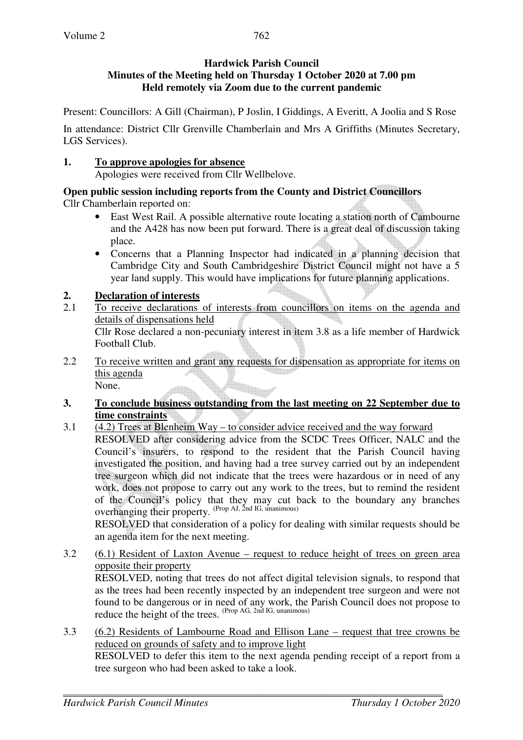### **Hardwick Parish Council Minutes of the Meeting held on Thursday 1 October 2020 at 7.00 pm Held remotely via Zoom due to the current pandemic**

Present: Councillors: A Gill (Chairman), P Joslin, I Giddings, A Everitt, A Joolia and S Rose

In attendance: District Cllr Grenville Chamberlain and Mrs A Griffiths (Minutes Secretary, LGS Services).

## **1. To approve apologies for absence**

Apologies were received from Cllr Wellbelove.

**Open public session including reports from the County and District Councillors** 

Cllr Chamberlain reported on:

- East West Rail. A possible alternative route locating a station north of Cambourne and the A428 has now been put forward. There is a great deal of discussion taking place.
- Concerns that a Planning Inspector had indicated in a planning decision that Cambridge City and South Cambridgeshire District Council might not have a 5 year land supply. This would have implications for future planning applications.

# **2. Declaration of interests**

- 2.1 To receive declarations of interests from councillors on items on the agenda and details of dispensations held Cllr Rose declared a non-pecuniary interest in item 3.8 as a life member of Hardwick Football Club.
- 2.2 To receive written and grant any requests for dispensation as appropriate for items on this agenda None.

### **3. To conclude business outstanding from the last meeting on 22 September due to time constraints**

3.1 (4.2) Trees at Blenheim Way – to consider advice received and the way forward RESOLVED after considering advice from the SCDC Trees Officer, NALC and the Council's insurers, to respond to the resident that the Parish Council having investigated the position, and having had a tree survey carried out by an independent tree surgeon which did not indicate that the trees were hazardous or in need of any work, does not propose to carry out any work to the trees, but to remind the resident of the Council's policy that they may cut back to the boundary any branches overhanging their property. (Prop AJ, 2nd IG, unanimous) RESOLVED that consideration of a policy for dealing with similar requests should be

an agenda item for the next meeting. 3.2 (6.1) Resident of Laxton Avenue – request to reduce height of trees on green area

opposite their property RESOLVED, noting that trees do not affect digital television signals, to respond that as the trees had been recently inspected by an independent tree surgeon and were not found to be dangerous or in need of any work, the Parish Council does not propose to reduce the height of the trees. (Prop AG, 2nd IG, unanimous)

3.3 (6.2) Residents of Lambourne Road and Ellison Lane – request that tree crowns be reduced on grounds of safety and to improve light RESOLVED to defer this item to the next agenda pending receipt of a report from a tree surgeon who had been asked to take a look.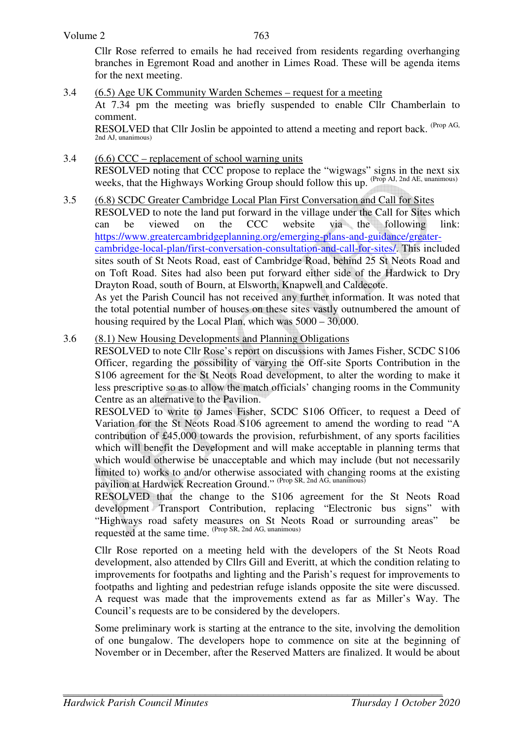Cllr Rose referred to emails he had received from residents regarding overhanging branches in Egremont Road and another in Limes Road. These will be agenda items for the next meeting.

- 3.4 (6.5) Age UK Community Warden Schemes request for a meeting At 7.34 pm the meeting was briefly suspended to enable Cllr Chamberlain to comment. RESOLVED that Cllr Joslin be appointed to attend a meeting and report back. (Prop AG, 2nd AJ, unanimous)
- 3.4 (6.6) CCC replacement of school warning units RESOLVED noting that CCC propose to replace the "wigwags" signs in the next six weeks, that the Highways Working Group should follow this up. (Prop AJ, 2nd AE, unanimous)
- 3.5 (6.8) SCDC Greater Cambridge Local Plan First Conversation and Call for Sites RESOLVED to note the land put forward in the village under the Call for Sites which can be viewed on the CCC website via the following link: https://www.greatercambridgeplanning.org/emerging-plans-and-guidance/greatercambridge-local-plan/first-conversation-consultation-and-call-for-sites/. This included sites south of St Neots Road, east of Cambridge Road, behind 25 St Neots Road and on Toft Road. Sites had also been put forward either side of the Hardwick to Dry Drayton Road, south of Bourn, at Elsworth, Knapwell and Caldecote. As yet the Parish Council has not received any further information. It was noted that

the total potential number of houses on these sites vastly outnumbered the amount of housing required by the Local Plan, which was 5000 – 30,000.

3.6 (8.1) New Housing Developments and Planning Obligations

RESOLVED to note Cllr Rose's report on discussions with James Fisher, SCDC S106 Officer, regarding the possibility of varying the Off-site Sports Contribution in the S106 agreement for the St Neots Road development, to alter the wording to make it less prescriptive so as to allow the match officials' changing rooms in the Community Centre as an alternative to the Pavilion.

RESOLVED to write to James Fisher, SCDC S106 Officer, to request a Deed of Variation for the St Neots Road S106 agreement to amend the wording to read "A contribution of £45,000 towards the provision, refurbishment, of any sports facilities which will benefit the Development and will make acceptable in planning terms that which would otherwise be unacceptable and which may include (but not necessarily limited to) works to and/or otherwise associated with changing rooms at the existing pavilion at Hardwick Recreation Ground." (Prop SR, 2nd AG, unanimous)

RESOLVED that the change to the S106 agreement for the St Neots Road development Transport Contribution, replacing "Electronic bus signs" with "Highways road safety measures on St Neots Road or surrounding areas" be requested at the same time. (Prop SR, 2nd AG, unanimous)

Cllr Rose reported on a meeting held with the developers of the St Neots Road development, also attended by Cllrs Gill and Everitt, at which the condition relating to improvements for footpaths and lighting and the Parish's request for improvements to footpaths and lighting and pedestrian refuge islands opposite the site were discussed. A request was made that the improvements extend as far as Miller's Way. The Council's requests are to be considered by the developers.

Some preliminary work is starting at the entrance to the site, involving the demolition of one bungalow. The developers hope to commence on site at the beginning of November or in December, after the Reserved Matters are finalized. It would be about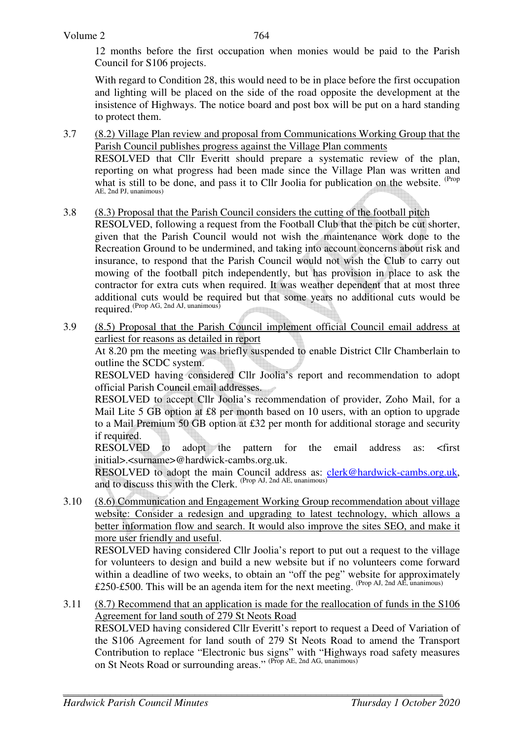12 months before the first occupation when monies would be paid to the Parish Council for S106 projects.

With regard to Condition 28, this would need to be in place before the first occupation and lighting will be placed on the side of the road opposite the development at the insistence of Highways. The notice board and post box will be put on a hard standing to protect them.

3.7 (8.2) Village Plan review and proposal from Communications Working Group that the Parish Council publishes progress against the Village Plan comments

RESOLVED that Cllr Everitt should prepare a systematic review of the plan, reporting on what progress had been made since the Village Plan was written and what is still to be done, and pass it to Cllr Joolia for publication on the website. <sup>(Prop</sup>) AE, 2nd PJ, unanimous)

3.8 (8.3) Proposal that the Parish Council considers the cutting of the football pitch

RESOLVED, following a request from the Football Club that the pitch be cut shorter, given that the Parish Council would not wish the maintenance work done to the Recreation Ground to be undermined, and taking into account concerns about risk and insurance, to respond that the Parish Council would not wish the Club to carry out mowing of the football pitch independently, but has provision in place to ask the contractor for extra cuts when required. It was weather dependent that at most three additional cuts would be required but that some years no additional cuts would be required.<sup>(Prop AG, 2nd AJ, unanimous)</sup>

3.9 (8.5) Proposal that the Parish Council implement official Council email address at earliest for reasons as detailed in report

 At 8.20 pm the meeting was briefly suspended to enable District Cllr Chamberlain to outline the SCDC system.

 RESOLVED having considered Cllr Joolia's report and recommendation to adopt official Parish Council email addresses.

 RESOLVED to accept Cllr Joolia's recommendation of provider, Zoho Mail, for a Mail Lite 5 GB option at £8 per month based on 10 users, with an option to upgrade to a Mail Premium 50 GB option at £32 per month for additional storage and security if required.

 RESOLVED to adopt the pattern for the email address as: <first initial>.<surname>@hardwick-cambs.org.uk.

RESOLVED to adopt the main Council address as: clerk@hardwick-cambs.org.uk, and to discuss this with the Clerk. (Prop AJ, 2nd AE, unanimous)

3.10 (8.6) Communication and Engagement Working Group recommendation about village website: Consider a redesign and upgrading to latest technology, which allows a better information flow and search. It would also improve the sites SEO, and make it more user friendly and useful.

 RESOLVED having considered Cllr Joolia's report to put out a request to the village for volunteers to design and build a new website but if no volunteers come forward within a deadline of two weeks, to obtain an "off the peg" website for approximately £250-£500. This will be an agenda item for the next meeting. (Prop AJ, 2nd AE, unanimous)

3.11 (8.7) Recommend that an application is made for the reallocation of funds in the S106 Agreement for land south of 279 St Neots Road

 RESOLVED having considered Cllr Everitt's report to request a Deed of Variation of the S106 Agreement for land south of 279 St Neots Road to amend the Transport Contribution to replace "Electronic bus signs" with "Highways road safety measures on St Neots Road or surrounding areas." (Prop AE, 2nd AG, unanimous)